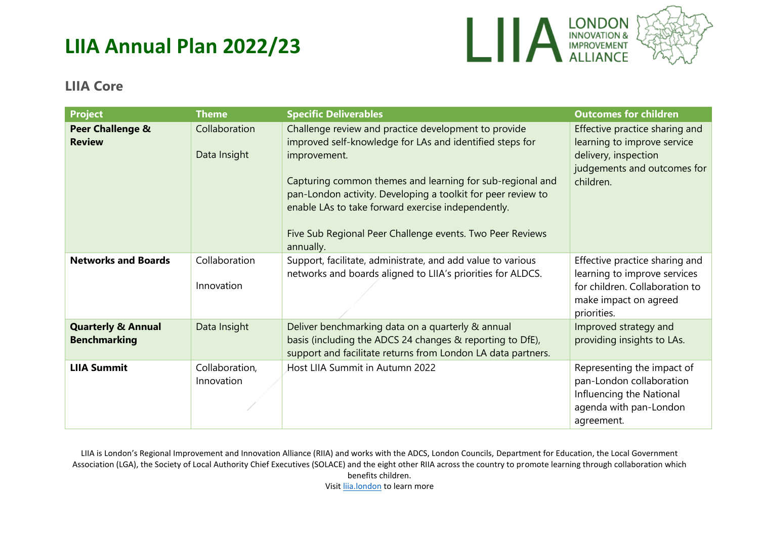

#### **LIIA Core**

| <b>Project</b>                                       | <b>Theme</b>                  | <b>Specific Deliverables</b>                                                                                                                                                                                                                                                                                                                                                                  | <b>Outcomes for children</b>                                                                                                             |
|------------------------------------------------------|-------------------------------|-----------------------------------------------------------------------------------------------------------------------------------------------------------------------------------------------------------------------------------------------------------------------------------------------------------------------------------------------------------------------------------------------|------------------------------------------------------------------------------------------------------------------------------------------|
| Peer Challenge &<br><b>Review</b>                    | Collaboration<br>Data Insight | Challenge review and practice development to provide<br>improved self-knowledge for LAs and identified steps for<br>improvement.<br>Capturing common themes and learning for sub-regional and<br>pan-London activity. Developing a toolkit for peer review to<br>enable LAs to take forward exercise independently.<br>Five Sub Regional Peer Challenge events. Two Peer Reviews<br>annually. | Effective practice sharing and<br>learning to improve service<br>delivery, inspection<br>judgements and outcomes for<br>children.        |
| <b>Networks and Boards</b>                           | Collaboration<br>Innovation   | Support, facilitate, administrate, and add value to various<br>networks and boards aligned to LIIA's priorities for ALDCS.                                                                                                                                                                                                                                                                    | Effective practice sharing and<br>learning to improve services<br>for children. Collaboration to<br>make impact on agreed<br>priorities. |
| <b>Quarterly &amp; Annual</b><br><b>Benchmarking</b> | Data Insight                  | Deliver benchmarking data on a quarterly & annual<br>basis (including the ADCS 24 changes & reporting to DfE),<br>support and facilitate returns from London LA data partners.                                                                                                                                                                                                                | Improved strategy and<br>providing insights to LAs.                                                                                      |
| <b>LIIA Summit</b>                                   | Collaboration,<br>Innovation  | Host LIIA Summit in Autumn 2022                                                                                                                                                                                                                                                                                                                                                               | Representing the impact of<br>pan-London collaboration<br>Influencing the National<br>agenda with pan-London<br>agreement.               |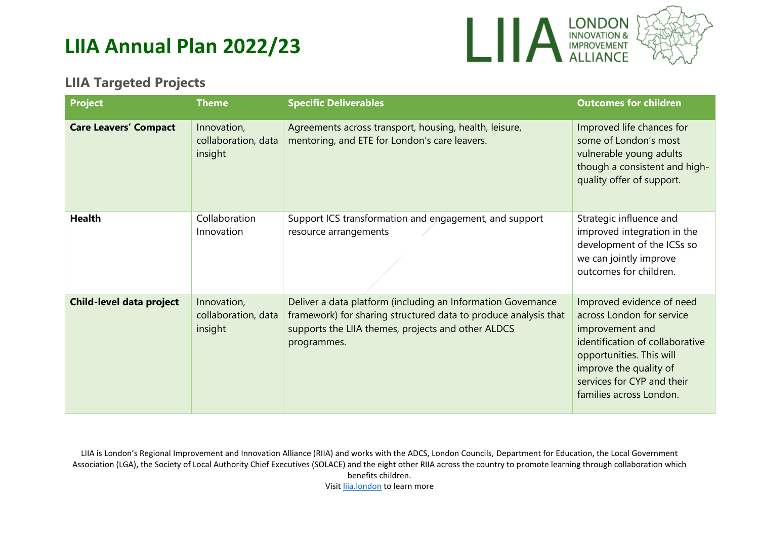

#### **LIIA Targeted Projects**

| <b>Project</b>                  | <b>Theme</b>                                  | <b>Specific Deliverables</b>                                                                                                                                                                         | <b>Outcomes for children</b>                                                                                                                                                                                                |
|---------------------------------|-----------------------------------------------|------------------------------------------------------------------------------------------------------------------------------------------------------------------------------------------------------|-----------------------------------------------------------------------------------------------------------------------------------------------------------------------------------------------------------------------------|
| <b>Care Leavers' Compact</b>    | Innovation,<br>collaboration, data<br>insight | Agreements across transport, housing, health, leisure,<br>mentoring, and ETE for London's care leavers.                                                                                              | Improved life chances for<br>some of London's most<br>vulnerable young adults<br>though a consistent and high-<br>quality offer of support.                                                                                 |
| <b>Health</b>                   | Collaboration<br>Innovation                   | Support ICS transformation and engagement, and support<br>resource arrangements                                                                                                                      | Strategic influence and<br>improved integration in the<br>development of the ICSs so<br>we can jointly improve<br>outcomes for children.                                                                                    |
| <b>Child-level data project</b> | Innovation,<br>collaboration, data<br>insight | Deliver a data platform (including an Information Governance<br>framework) for sharing structured data to produce analysis that<br>supports the LIIA themes, projects and other ALDCS<br>programmes. | Improved evidence of need<br>across London for service<br>improvement and<br>identification of collaborative<br>opportunities. This will<br>improve the quality of<br>services for CYP and their<br>families across London. |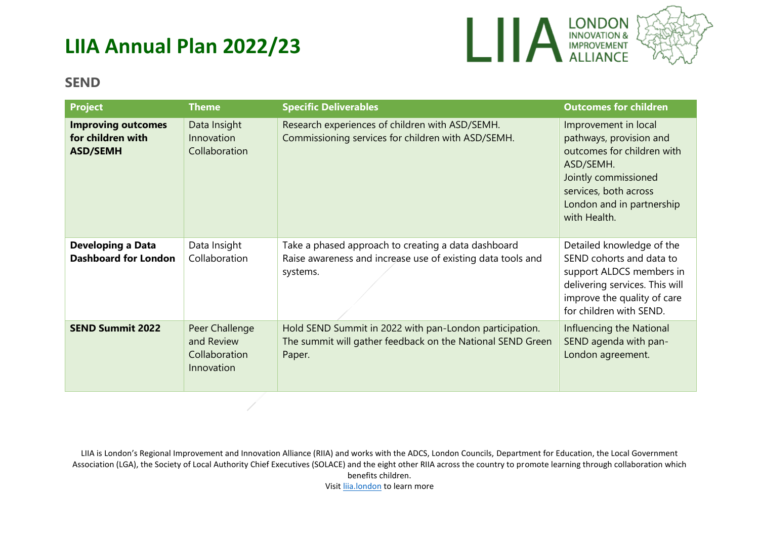

#### **SEND**

| <b>Project</b>                                                    | <b>Theme</b>                                                | <b>Specific Deliverables</b>                                                                                                    | <b>Outcomes for children</b>                                                                                                                                                             |
|-------------------------------------------------------------------|-------------------------------------------------------------|---------------------------------------------------------------------------------------------------------------------------------|------------------------------------------------------------------------------------------------------------------------------------------------------------------------------------------|
| <b>Improving outcomes</b><br>for children with<br><b>ASD/SEMH</b> | Data Insight<br>Innovation<br>Collaboration                 | Research experiences of children with ASD/SEMH.<br>Commissioning services for children with ASD/SEMH.                           | Improvement in local<br>pathways, provision and<br>outcomes for children with<br>ASD/SEMH.<br>Jointly commissioned<br>services, both across<br>London and in partnership<br>with Health. |
| <b>Developing a Data</b><br><b>Dashboard for London</b>           | Data Insight<br>Collaboration                               | Take a phased approach to creating a data dashboard<br>Raise awareness and increase use of existing data tools and<br>systems.  | Detailed knowledge of the<br>SEND cohorts and data to<br>support ALDCS members in<br>delivering services. This will<br>improve the quality of care<br>for children with SEND.            |
| <b>SEND Summit 2022</b>                                           | Peer Challenge<br>and Review<br>Collaboration<br>Innovation | Hold SEND Summit in 2022 with pan-London participation.<br>The summit will gather feedback on the National SEND Green<br>Paper. | Influencing the National<br>SEND agenda with pan-<br>London agreement.                                                                                                                   |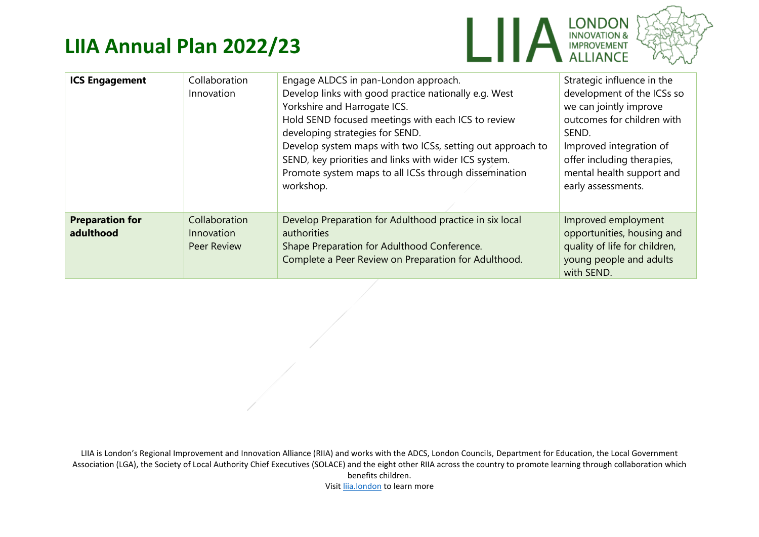



|                                     |                                                   |                                                                                                                                                                                                                                                                                                                                                                                                                     | <b>WALLIANCE</b><br><sup>L</sup> evel                                                                                                                                                                                                 |
|-------------------------------------|---------------------------------------------------|---------------------------------------------------------------------------------------------------------------------------------------------------------------------------------------------------------------------------------------------------------------------------------------------------------------------------------------------------------------------------------------------------------------------|---------------------------------------------------------------------------------------------------------------------------------------------------------------------------------------------------------------------------------------|
| <b>ICS Engagement</b>               | Collaboration<br>Innovation                       | Engage ALDCS in pan-London approach.<br>Develop links with good practice nationally e.g. West<br>Yorkshire and Harrogate ICS.<br>Hold SEND focused meetings with each ICS to review<br>developing strategies for SEND.<br>Develop system maps with two ICSs, setting out approach to<br>SEND, key priorities and links with wider ICS system.<br>Promote system maps to all ICSs through dissemination<br>workshop. | Strategic influence in the<br>development of the ICSs so<br>we can jointly improve<br>outcomes for children with<br>SEND.<br>Improved integration of<br>offer including therapies,<br>mental health support and<br>early assessments. |
| <b>Preparation for</b><br>adulthood | Collaboration<br>Innovation<br><b>Peer Review</b> | Develop Preparation for Adulthood practice in six local<br>authorities<br>Shape Preparation for Adulthood Conference.<br>Complete a Peer Review on Preparation for Adulthood.                                                                                                                                                                                                                                       | Improved employment<br>opportunities, housing and<br>quality of life for children,<br>young people and adults<br>with SEND.                                                                                                           |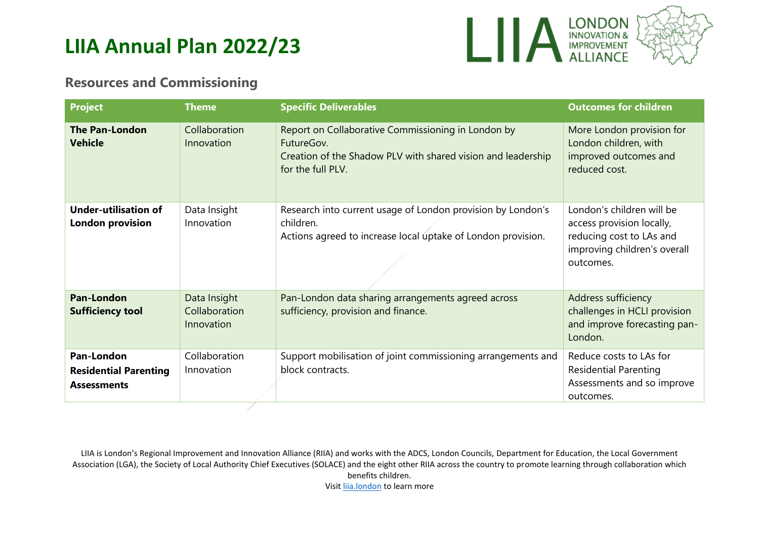

#### **Resources and Commissioning**

| <b>Project</b>                                                          | <b>Theme</b>                                | <b>Specific Deliverables</b>                                                                                                                          | <b>Outcomes for children</b>                                                                                                    |
|-------------------------------------------------------------------------|---------------------------------------------|-------------------------------------------------------------------------------------------------------------------------------------------------------|---------------------------------------------------------------------------------------------------------------------------------|
| <b>The Pan-London</b><br><b>Vehicle</b>                                 | Collaboration<br>Innovation                 | Report on Collaborative Commissioning in London by<br>FutureGov.<br>Creation of the Shadow PLV with shared vision and leadership<br>for the full PLV. | More London provision for<br>London children, with<br>improved outcomes and<br>reduced cost.                                    |
| <b>Under-utilisation of</b><br><b>London provision</b>                  | Data Insight<br>Innovation                  | Research into current usage of London provision by London's<br>children.<br>Actions agreed to increase local uptake of London provision.              | London's children will be<br>access provision locally,<br>reducing cost to LAs and<br>improving children's overall<br>outcomes. |
| <b>Pan-London</b><br><b>Sufficiency tool</b>                            | Data Insight<br>Collaboration<br>Innovation | Pan-London data sharing arrangements agreed across<br>sufficiency, provision and finance.                                                             | Address sufficiency<br>challenges in HCLI provision<br>and improve forecasting pan-<br>London.                                  |
| <b>Pan-London</b><br><b>Residential Parenting</b><br><b>Assessments</b> | Collaboration<br>Innovation                 | Support mobilisation of joint commissioning arrangements and<br>block contracts.                                                                      | Reduce costs to LAs for<br><b>Residential Parenting</b><br>Assessments and so improve<br>outcomes.                              |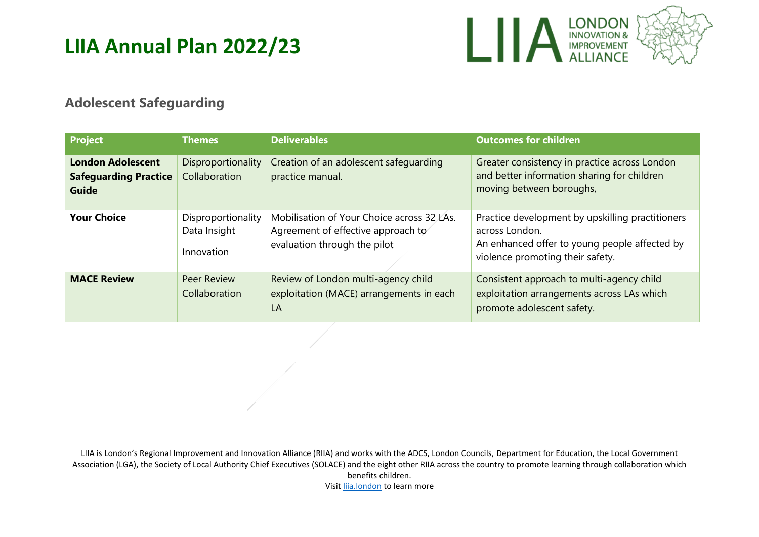

#### **Adolescent Safeguarding**

| <b>Project</b>                                                           | <b>Themes</b>                                    | <b>Deliverables</b>                                                                                              | <b>Outcomes for children</b>                                                                                                                            |
|--------------------------------------------------------------------------|--------------------------------------------------|------------------------------------------------------------------------------------------------------------------|---------------------------------------------------------------------------------------------------------------------------------------------------------|
| <b>London Adolescent</b><br><b>Safeguarding Practice</b><br><b>Guide</b> | Disproportionality<br>Collaboration              | Creation of an adolescent safeguarding<br>practice manual.                                                       | Greater consistency in practice across London<br>and better information sharing for children<br>moving between boroughs,                                |
| <b>Your Choice</b>                                                       | Disproportionality<br>Data Insight<br>Innovation | Mobilisation of Your Choice across 32 LAs.<br>Agreement of effective approach to<br>evaluation through the pilot | Practice development by upskilling practitioners<br>across London.<br>An enhanced offer to young people affected by<br>violence promoting their safety. |
| <b>MACE Review</b>                                                       | <b>Peer Review</b><br>Collaboration              | Review of London multi-agency child<br>exploitation (MACE) arrangements in each<br>LA                            | Consistent approach to multi-agency child<br>exploitation arrangements across LAs which<br>promote adolescent safety.                                   |